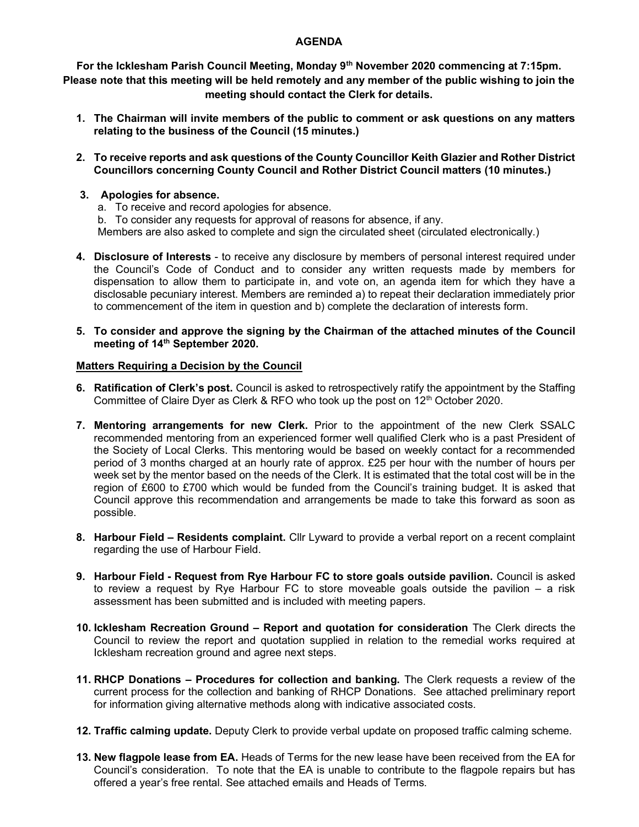## AGENDA

For the Icklesham Parish Council Meeting, Monday 9<sup>th</sup> November 2020 commencing at 7:15pm. Please note that this meeting will be held remotely and any member of the public wishing to join the meeting should contact the Clerk for details.

- 1. The Chairman will invite members of the public to comment or ask questions on any matters relating to the business of the Council (15 minutes.)
- 2. To receive reports and ask questions of the County Councillor Keith Glazier and Rother District Councillors concerning County Council and Rother District Council matters (10 minutes.)
- 3. Apologies for absence.
	- a. To receive and record apologies for absence.

b. To consider any requests for approval of reasons for absence, if any. Members are also asked to complete and sign the circulated sheet (circulated electronically.)

- 4. Disclosure of Interests to receive any disclosure by members of personal interest required under the Council's Code of Conduct and to consider any written requests made by members for dispensation to allow them to participate in, and vote on, an agenda item for which they have a disclosable pecuniary interest. Members are reminded a) to repeat their declaration immediately prior to commencement of the item in question and b) complete the declaration of interests form.
- 5. To consider and approve the signing by the Chairman of the attached minutes of the Council meeting of 14<sup>th</sup> September 2020.

## Matters Requiring a Decision by the Council

- 6. Ratification of Clerk's post. Council is asked to retrospectively ratify the appointment by the Staffing Committee of Claire Dyer as Clerk & RFO who took up the post on  $12<sup>th</sup>$  October 2020.
- 7. Mentoring arrangements for new Clerk. Prior to the appointment of the new Clerk SSALC recommended mentoring from an experienced former well qualified Clerk who is a past President of the Society of Local Clerks. This mentoring would be based on weekly contact for a recommended period of 3 months charged at an hourly rate of approx. £25 per hour with the number of hours per week set by the mentor based on the needs of the Clerk. It is estimated that the total cost will be in the region of £600 to £700 which would be funded from the Council's training budget. It is asked that Council approve this recommendation and arrangements be made to take this forward as soon as possible.
- 8. Harbour Field Residents complaint. Cllr Lyward to provide a verbal report on a recent complaint regarding the use of Harbour Field.
- 9. Harbour Field Request from Rye Harbour FC to store goals outside pavilion. Council is asked to review a request by Rye Harbour FC to store moveable goals outside the pavilion – a risk assessment has been submitted and is included with meeting papers.
- 10. Icklesham Recreation Ground Report and quotation for consideration The Clerk directs the Council to review the report and quotation supplied in relation to the remedial works required at Icklesham recreation ground and agree next steps.
- 11. RHCP Donations Procedures for collection and banking. The Clerk requests a review of the current process for the collection and banking of RHCP Donations. See attached preliminary report for information giving alternative methods along with indicative associated costs.
- 12. Traffic calming update. Deputy Clerk to provide verbal update on proposed traffic calming scheme.
- 13. New flagpole lease from EA. Heads of Terms for the new lease have been received from the EA for Council's consideration. To note that the EA is unable to contribute to the flagpole repairs but has offered a year's free rental. See attached emails and Heads of Terms.